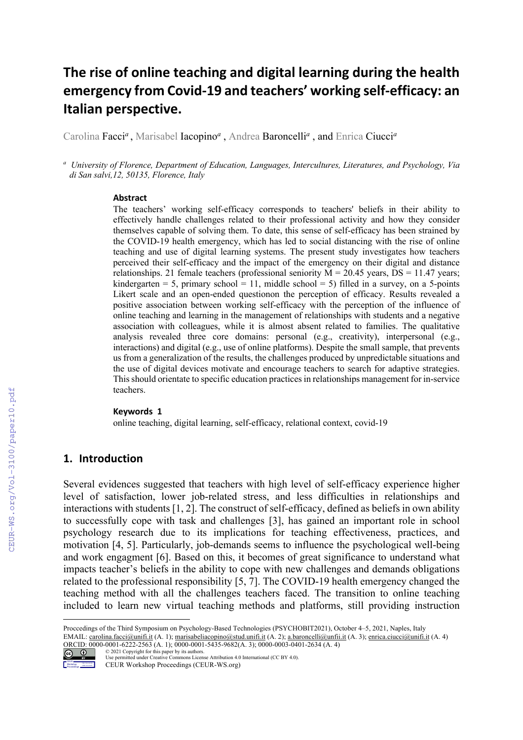# **The rise of online teaching and digital learning during the health emergency from Covid-19 and teachers' working self-efficacy: an Italian perspective.**

Carolina Facci*<sup>a</sup>* , Marisabel Iacopino*<sup>a</sup>* , Andrea Baroncelli*<sup>a</sup>* , and Enrica Ciucci*<sup>a</sup>*

*<sup>a</sup> University of Florence, Department of Education, Languages, Intercultures, Literatures, and Psychology, Via di San salvi,12, 50135, Florence, Italy*

#### **Abstract**

The teachers' working self-efficacy corresponds to teachers' beliefs in their ability to effectively handle challenges related to their professional activity and how they consider themselves capable of solving them. To date, this sense of self-efficacy has been strained by the COVID-19 health emergency, which has led to social distancing with the rise of online teaching and use of digital learning systems. The present study investigates how teachers perceived their self-efficacy and the impact of the emergency on their digital and distance relationships. 21 female teachers (professional seniority  $M = 20.45$  years,  $DS = 11.47$  years; kindergarten = 5, primary school = 11, middle school = 5) filled in a survey, on a 5-points Likert scale and an open-ended questionon the perception of efficacy. Results revealed a positive association between working self-efficacy with the perception of the influence of online teaching and learning in the management of relationships with students and a negative association with colleagues, while it is almost absent related to families. The qualitative analysis revealed three core domains: personal (e.g., creativity), interpersonal (e.g., interactions) and digital (e.g., use of online platforms). Despite the small sample, that prevents us from a generalization of the results, the challenges produced by unpredictable situations and the use of digital devices motivate and encourage teachers to search for adaptive strategies. This should orientate to specific education practices in relationships management for in-service teachers.

#### **Keywords 1**

online teaching, digital learning, self-efficacy, relational context, covid-19

#### **1. Introduction**

Several evidences suggested that teachers with high level of self-efficacy experience higher level of satisfaction, lower job-related stress, and less difficulties in relationships and interactions with students [1, 2]. The construct of self-efficacy, defined as beliefs in own ability to successfully cope with task and challenges [3], has gained an important role in school psychology research due to its implications for teaching effectiveness, practices, and motivation [4, 5]. Particularly, job-demands seems to influence the psychological well-being and work engagment [6]. Based on this, it becomes of great significance to understand what impacts teacher's beliefs in the ability to cope with new challenges and demands obligations related to the professional responsibility [5, 7]. The COVID-19 health emergency changed the teaching method with all the challenges teachers faced. The transition to online teaching included to learn new virtual teaching methods and platforms, still providing instruction

EMAIL: carolina.facci@unifi.it (A. 1); marisabeliacopino@stud.unifi.it (A. 2); a.baroncelli@unfii.it (A. 3); enrica.ciucci@unifi.it (A. 4) ORCID: 0000-0001-6222-2563 (A. 1); 0000-0001-5435-9682(A. 3); 0000-0003-0401-2634 (A. 4)



<sup>©</sup> 2021 Copyright for this paper by its authors. Use permitted under Creative Commons License Attribution 4.0 International (CC BY 4.0). CEUR Workshop Proceedings (CEUR-WS.org)

Proccedings of the Third Symposium on Psychology-Based Technologies (PSYCHOBIT2021), October 4–5, 2021, Naples, Italy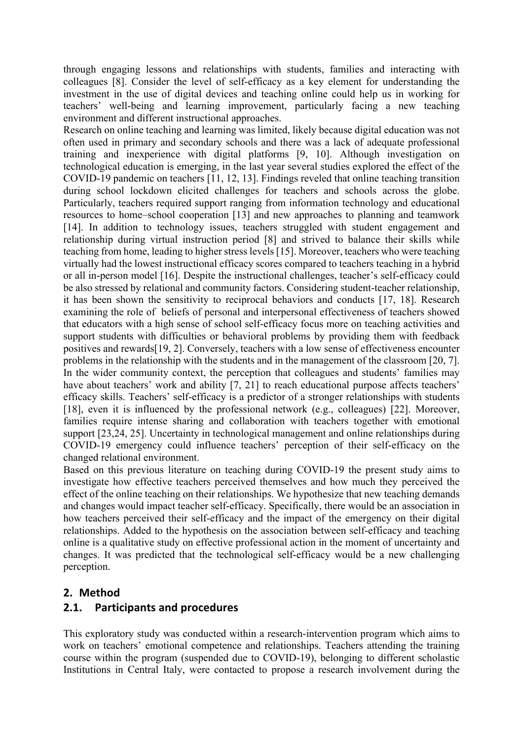through engaging lessons and relationships with students, families and interacting with colleagues [8]. Consider the level of self-efficacy as a key element for understanding the investment in the use of digital devices and teaching online could help us in working for teachers' well-being and learning improvement, particularly facing a new teaching environment and different instructional approaches.

Research on online teaching and learning was limited, likely because digital education was not often used in primary and secondary schools and there was a lack of adequate professional training and inexperience with digital platforms [9, 10]. Although investigation on technological education is emerging, in the last year several studies explored the effect of the COVID-19 pandemic on teachers [11, 12, 13]. Findings reveled that online teaching transition during school lockdown elicited challenges for teachers and schools across the globe. Particularly, teachers required support ranging from information technology and educational resources to home–school cooperation [13] and new approaches to planning and teamwork [14]. In addition to technology issues, teachers struggled with student engagement and relationship during virtual instruction period [8] and strived to balance their skills while teaching from home, leading to higher stress levels [15]. Moreover, teachers who were teaching virtually had the lowest instructional efficacy scores compared to teachers teaching in a hybrid or all in-person model [16]. Despite the instructional challenges, teacher's self-efficacy could be also stressed by relational and community factors. Considering student-teacher relationship, it has been shown the sensitivity to reciprocal behaviors and conducts [17, 18]. Research examining the role of beliefs of personal and interpersonal effectiveness of teachers showed that educators with a high sense of school self-efficacy focus more on teaching activities and support students with difficulties or behavioral problems by providing them with feedback positives and rewards[19, 2]. Conversely, teachers with a low sense of effectiveness encounter problems in the relationship with the students and in the management of the classroom [20, 7]. In the wider community context, the perception that colleagues and students' families may have about teachers' work and ability [7, 21] to reach educational purpose affects teachers' efficacy skills. Teachers' self-efficacy is a predictor of a stronger relationships with students [18], even it is influenced by the professional network (e.g., colleagues) [22]. Moreover, families require intense sharing and collaboration with teachers together with emotional support [23,24, 25]. Uncertainty in technological management and online relationships during COVID-19 emergency could influence teachers' perception of their self-efficacy on the changed relational environment.

Based on this previous literature on teaching during COVID-19 the present study aims to investigate how effective teachers perceived themselves and how much they perceived the effect of the online teaching on their relationships. We hypothesize that new teaching demands and changes would impact teacher self-efficacy. Specifically, there would be an association in how teachers perceived their self-efficacy and the impact of the emergency on their digital relationships. Added to the hypothesis on the association between self-efficacy and teaching online is a qualitative study on effective professional action in the moment of uncertainty and changes. It was predicted that the technological self-efficacy would be a new challenging perception.

# **2. Method**

# **2.1. Participants and procedures**

This exploratory study was conducted within a research-intervention program which aims to work on teachers' emotional competence and relationships. Teachers attending the training course within the program (suspended due to COVID-19), belonging to different scholastic Institutions in Central Italy, were contacted to propose a research involvement during the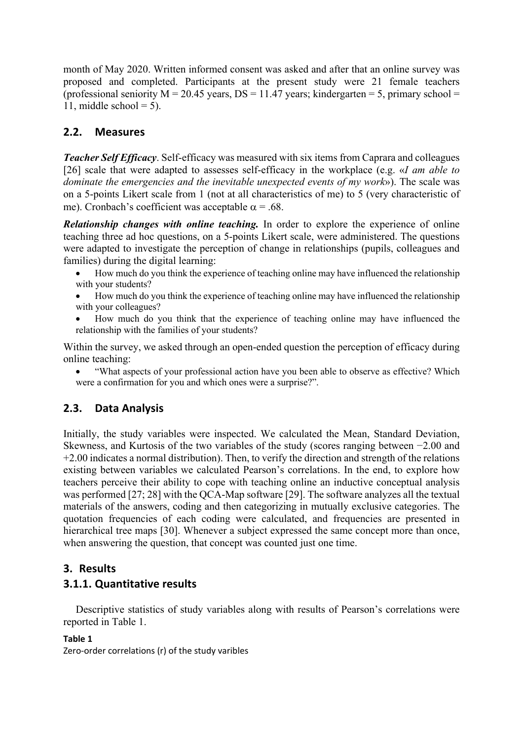month of May 2020. Written informed consent was asked and after that an online survey was proposed and completed. Participants at the present study were 21 female teachers (professional seniority  $M = 20.45$  years,  $DS = 11.47$  years; kindergarten = 5, primary school = 11, middle school  $= 5$ ).

# **2.2. Measures**

*Teacher Self Efficacy*. Self-efficacy was measured with six items from Caprara and colleagues [26] scale that were adapted to assesses self-efficacy in the workplace (e.g. «*I am able to dominate the emergencies and the inevitable unexpected events of my work*»). The scale was on a 5-points Likert scale from 1 (not at all characteristics of me) to 5 (very characteristic of me). Cronbach's coefficient was acceptable  $\alpha = .68$ .

*Relationship changes with online teaching.* In order to explore the experience of online teaching three ad hoc questions, on a 5-points Likert scale, were administered. The questions were adapted to investigate the perception of change in relationships (pupils, colleagues and families) during the digital learning:

- How much do you think the experience of teaching online may have influenced the relationship with your students?
- How much do you think the experience of teaching online may have influenced the relationship with your colleagues?
- How much do you think that the experience of teaching online may have influenced the relationship with the families of your students?

Within the survey, we asked through an open-ended question the perception of efficacy during online teaching:

• "What aspects of your professional action have you been able to observe as effective? Which were a confirmation for you and which ones were a surprise?".

# **2.3. Data Analysis**

Initially, the study variables were inspected. We calculated the Mean, Standard Deviation, Skewness, and Kurtosis of the two variables of the study (scores ranging between −2.00 and +2.00 indicates a normal distribution). Then, to verify the direction and strength of the relations existing between variables we calculated Pearson's correlations. In the end, to explore how teachers perceive their ability to cope with teaching online an inductive conceptual analysis was performed [27; 28] with the QCA-Map software [29]. The software analyzes all the textual materials of the answers, coding and then categorizing in mutually exclusive categories. The quotation frequencies of each coding were calculated, and frequencies are presented in hierarchical tree maps [30]. Whenever a subject expressed the same concept more than once, when answering the question, that concept was counted just one time.

# **3. Results**

# **3.1.1. Quantitative results**

Descriptive statistics of study variables along with results of Pearson's correlations were reported in Table 1.

```
Table 1
Zero-order correlations (r) of the study varibles
```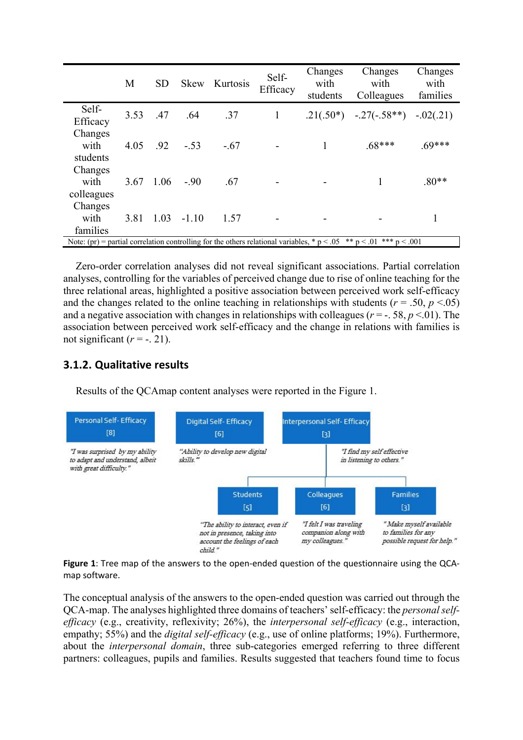|                                                                                                                     | M    | <b>SD</b> | <b>Skew</b> | Kurtosis | Self-<br>Efficacy | Changes<br>with<br>students | Changes<br>with<br>Colleagues           | Changes<br>with<br>families |
|---------------------------------------------------------------------------------------------------------------------|------|-----------|-------------|----------|-------------------|-----------------------------|-----------------------------------------|-----------------------------|
| Self-<br>Efficacy                                                                                                   | 3.53 | .47       | .64         | .37      | 1                 |                             | $.21(.50^*)$ $-.27(-.58**)$ $-.02(.21)$ |                             |
| Changes<br>with<br>students                                                                                         | 4.05 | .92       | $-.53$      | $-.67$   |                   |                             | $.68***$                                | $.69***$                    |
| Changes<br>with<br>colleagues                                                                                       | 3.67 | 1.06      | $-.90$      | .67      |                   |                             |                                         | $.80**$                     |
| Changes<br>with<br>families                                                                                         | 3.81 | 1.03      | $-1.10$     | 1.57     |                   |                             |                                         |                             |
| Note: (pr) = partial correlation controlling for the others relational variables, * p < .05 ** p < .01 *** p < .001 |      |           |             |          |                   |                             |                                         |                             |

Zero-order correlation analyses did not reveal significant associations. Partial correlation analyses, controlling for the variables of perceived change due to rise of online teaching for the three relational areas, highlighted a positive association between perceived work self-efficacy and the changes related to the online teaching in relationships with students ( $r = .50$ ,  $p < .05$ ) and a negative association with changes in relationships with colleagues ( $r = -1.58$ ,  $p < 0.01$ ). The association between perceived work self-efficacy and the change in relations with families is not significant  $(r = -1.21)$ .

#### **3.1.2. Qualitative results**

Results of the QCAmap content analyses were reported in the Figure 1.



**Figure 1**: Tree map of the answers to the open-ended question of the questionnaire using the QCAmap software.

The conceptual analysis of the answers to the open-ended question was carried out through the QCA-map. The analyses highlighted three domains of teachers' self-efficacy: the *personal selfefficacy* (e.g., creativity, reflexivity; 26%), the *interpersonal self-efficacy* (e.g., interaction, empathy; 55%) and the *digital self-efficacy* (e.g., use of online platforms; 19%). Furthermore, about the *interpersonal domain*, three sub-categories emerged referring to three different partners: colleagues, pupils and families. Results suggested that teachers found time to focus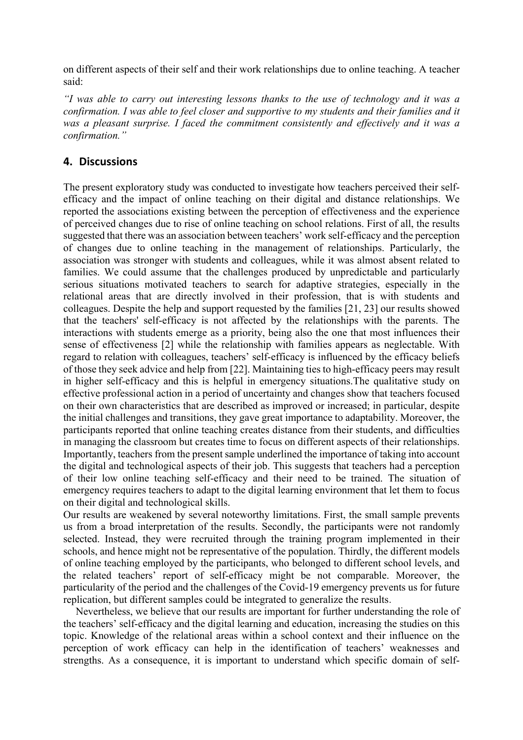on different aspects of their self and their work relationships due to online teaching. A teacher said:

*"I was able to carry out interesting lessons thanks to the use of technology and it was a confirmation. I was able to feel closer and supportive to my students and their families and it was a pleasant surprise. I faced the commitment consistently and effectively and it was a confirmation."*

#### **4. Discussions**

The present exploratory study was conducted to investigate how teachers perceived their selfefficacy and the impact of online teaching on their digital and distance relationships. We reported the associations existing between the perception of effectiveness and the experience of perceived changes due to rise of online teaching on school relations. First of all, the results suggested that there was an association between teachers' work self-efficacy and the perception of changes due to online teaching in the management of relationships. Particularly, the association was stronger with students and colleagues, while it was almost absent related to families. We could assume that the challenges produced by unpredictable and particularly serious situations motivated teachers to search for adaptive strategies, especially in the relational areas that are directly involved in their profession, that is with students and colleagues. Despite the help and support requested by the families [21, 23] our results showed that the teachers' self-efficacy is not affected by the relationships with the parents. The interactions with students emerge as a priority, being also the one that most influences their sense of effectiveness [2] while the relationship with families appears as neglectable. With regard to relation with colleagues, teachers' self-efficacy is influenced by the efficacy beliefs of those they seek advice and help from [22]. Maintaining ties to high-efficacy peers may result in higher self-efficacy and this is helpful in emergency situations.The qualitative study on effective professional action in a period of uncertainty and changes show that teachers focused on their own characteristics that are described as improved or increased; in particular, despite the initial challenges and transitions, they gave great importance to adaptability. Moreover, the participants reported that online teaching creates distance from their students, and difficulties in managing the classroom but creates time to focus on different aspects of their relationships. Importantly, teachers from the present sample underlined the importance of taking into account the digital and technological aspects of their job. This suggests that teachers had a perception of their low online teaching self-efficacy and their need to be trained. The situation of emergency requires teachers to adapt to the digital learning environment that let them to focus on their digital and technological skills.

Our results are weakened by several noteworthy limitations. First, the small sample prevents us from a broad interpretation of the results. Secondly, the participants were not randomly selected. Instead, they were recruited through the training program implemented in their schools, and hence might not be representative of the population. Thirdly, the different models of online teaching employed by the participants, who belonged to different school levels, and the related teachers' report of self-efficacy might be not comparable. Moreover, the particularity of the period and the challenges of the Covid-19 emergency prevents us for future replication, but different samples could be integrated to generalize the results.

Nevertheless, we believe that our results are important for further understanding the role of the teachers' self-efficacy and the digital learning and education, increasing the studies on this topic. Knowledge of the relational areas within a school context and their influence on the perception of work efficacy can help in the identification of teachers' weaknesses and strengths. As a consequence, it is important to understand which specific domain of self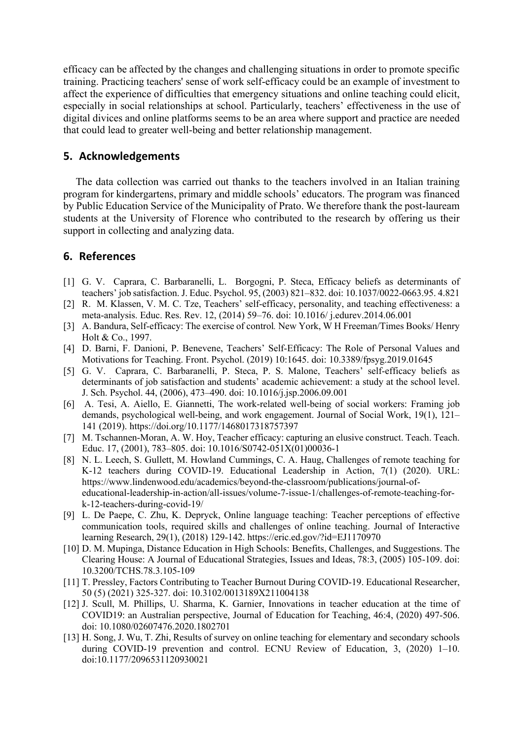efficacy can be affected by the changes and challenging situations in order to promote specific training. Practicing teachers' sense of work self-efficacy could be an example of investment to affect the experience of difficulties that emergency situations and online teaching could elicit, especially in social relationships at school. Particularly, teachers' effectiveness in the use of digital divices and online platforms seems to be an area where support and practice are needed that could lead to greater well-being and better relationship management.

#### **5. Acknowledgements**

The data collection was carried out thanks to the teachers involved in an Italian training program for kindergartens, primary and middle schools' educators. The program was financed by Public Education Service of the Municipality of Prato. We therefore thank the post-lauream students at the University of Florence who contributed to the research by offering us their support in collecting and analyzing data.

#### **6. References**

- [1] G. V. Caprara, C. Barbaranelli, L. Borgogni, P. Steca, Efficacy beliefs as determinants of teachers' job satisfaction. J. Educ. Psychol. 95, (2003) 821–832. doi: 10.1037/0022-0663.95. 4.821
- [2] R. M. Klassen, V. M. C. Tze, Teachers' self-efficacy, personality, and teaching effectiveness: a meta-analysis. Educ. Res. Rev. 12, (2014) 59–76. doi: 10.1016/ j.edurev.2014.06.001
- [3] A. Bandura, Self-efficacy: The exercise of control*.* New York, W H Freeman/Times Books/ Henry Holt & Co., 1997.
- [4] D. Barni, F. Danioni, P. Benevene, Teachers' Self-Efficacy: The Role of Personal Values and Motivations for Teaching. Front. Psychol. (2019) 10:1645. doi: 10.3389/fpsyg.2019.01645
- [5] G. V. Caprara, C. Barbaranelli, P. Steca, P. S. Malone, Teachers' self-efficacy beliefs as determinants of job satisfaction and students' academic achievement: a study at the school level. J. Sch. Psychol. 44, (2006), 473–490. doi: 10.1016/j.jsp.2006.09.001
- [6] A. Tesi, A. Aiello, E. Giannetti, The work-related well-being of social workers: Framing job demands, psychological well-being, and work engagement. Journal of Social Work, 19(1), 121– 141 (2019). https://doi.org/10.1177/1468017318757397
- [7] M. Tschannen-Moran, A. W. Hoy, Teacher efficacy: capturing an elusive construct. Teach. Teach. Educ. 17, (2001), 783–805. doi: 10.1016/S0742-051X(01)00036-1
- [8] N. L. Leech, S. Gullett, M. Howland Cummings, C. A. Haug, Challenges of remote teaching for K-12 teachers during COVID-19. Educational Leadership in Action, 7(1) (2020). URL: https://www.lindenwood.edu/academics/beyond-the-classroom/publications/journal-ofeducational-leadership-in-action/all-issues/volume-7-issue-1/challenges-of-remote-teaching-fork-12-teachers-during-covid-19/
- [9] L. De Paepe, C. Zhu, K. Depryck, Online language teaching: Teacher perceptions of effective communication tools, required skills and challenges of online teaching. Journal of Interactive learning Research, 29(1), (2018) 129-142. https://eric.ed.gov/?id=EJ1170970
- [10] D. M. Mupinga, Distance Education in High Schools: Benefits, Challenges, and Suggestions. The Clearing House: A Journal of Educational Strategies, Issues and Ideas, 78:3, (2005) 105-109. doi: 10.3200/TCHS.78.3.105-109
- [11] T. Pressley, Factors Contributing to Teacher Burnout During COVID-19. Educational Researcher, 50 (5) (2021) 325-327. doi: 10.3102/0013189X211004138
- [12] J. Scull, M. Phillips, U. Sharma, K. Garnier, Innovations in teacher education at the time of COVID19: an Australian perspective, Journal of Education for Teaching, 46:4, (2020) 497-506. doi: 10.1080/02607476.2020.1802701
- [13] H. Song, J. Wu, T. Zhi, Results of survey on online teaching for elementary and secondary schools during COVID-19 prevention and control. ECNU Review of Education, 3, (2020) 1–10. doi:10.1177/2096531120930021